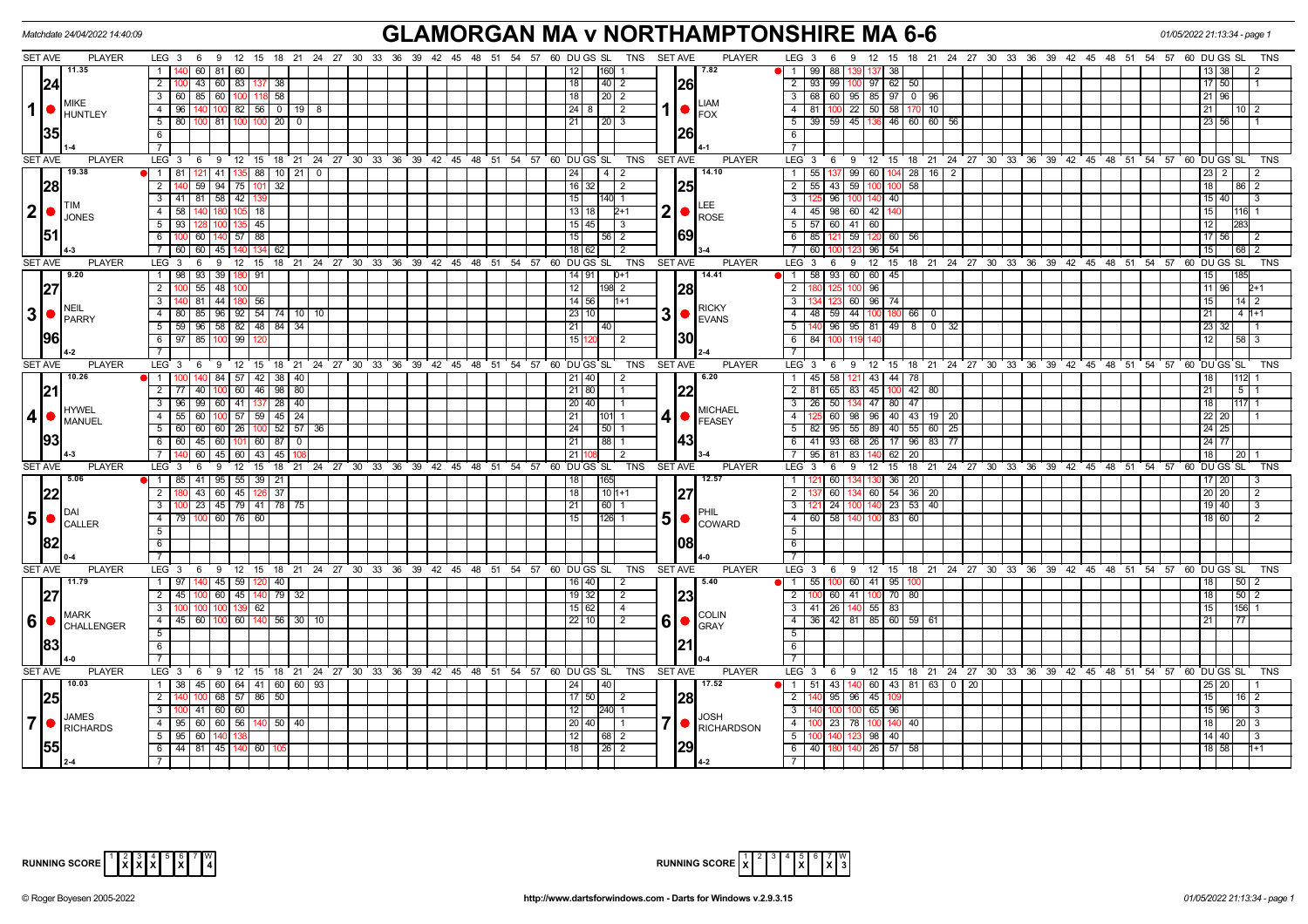|                | Matchdate 24/04/2022 14:40:09                                 |                                                                                                         |                                                                | <b>GLAMORGAN MA v NORTHAMPTONSHIRE MA 6-6</b>                |                                                                                                                   | 01/05/2022 21:13:34 - page 1 |  |  |  |  |
|----------------|---------------------------------------------------------------|---------------------------------------------------------------------------------------------------------|----------------------------------------------------------------|--------------------------------------------------------------|-------------------------------------------------------------------------------------------------------------------|------------------------------|--|--|--|--|
|                | <b>SET AVE</b><br><b>PLAYER</b>                               | LEG 3 6 9 12 15 18 21 24 27 30 33 36 39 42 45 48 51 54 57 60 DUGS SL TNS SETAVE                         |                                                                | <b>PLAYER</b>                                                | $LEG_3 6$<br>18 21 24 27 30 33 36 39 42 45 48 51 54 57 60 DU GS SL<br>-9<br>12 15                                 | TNS                          |  |  |  |  |
|                | 11.35                                                         | 60   81   60<br>1                                                                                       |                                                                | 7.82 <br>12<br>160                                           | $\overline{1}$<br>99 88<br>137 38                                                                                 | 13   38                      |  |  |  |  |
|                | 24                                                            | $\overline{2}$<br>43 60 83<br>38<br>137                                                                 |                                                                | 40 2<br>18<br><b>26</b>                                      | $\overline{2}$<br>93 99<br>97 62<br>50                                                                            | 17 50                        |  |  |  |  |
|                | <b>MIKE</b>                                                   | 3   60   85   60   100   118   58                                                                       |                                                                | 18<br>$\vert 20 \vert 2$<br><b>LIAM</b>                      | $\overline{\mathbf{3}}$<br>68 60 95 85 97 0 96                                                                    | 21 96                        |  |  |  |  |
| $\vert$        | $\bullet$ HUNTLEY                                             | $100$ 82 56 0 19 8<br>$4 \overline{8}$                                                                  |                                                                | $1  \bullet  _{\text{FOX}}$                                  | 81 100 22 50 58 170<br>$\overline{4}$<br>10                                                                       | 21<br>$10$   2               |  |  |  |  |
|                |                                                               | $5$   80   100   81   100   100   20   0                                                                |                                                                | $\vert 20 \vert 3$<br> 21                                    | $\overline{5}$<br>39 59 45 136 46 60 60 56                                                                        | 23 56                        |  |  |  |  |
|                | <b>35</b>                                                     | -6 I                                                                                                    |                                                                | 1261                                                         | $\overline{6}$                                                                                                    |                              |  |  |  |  |
|                |                                                               | $7^{\circ}$                                                                                             |                                                                |                                                              |                                                                                                                   |                              |  |  |  |  |
|                | <b>SET AVE</b><br><b>PLAYER</b>                               | $LEG$ 3                                                                                                 | 6 9 12 15 18 21 24 27 30 33 36 39 42 45 48 51 54 57 60 DUGS SL | TNS<br><b>SET AVE</b><br><b>PLAYER</b>                       | LEG 3 6 9 12 15 18 21 24 27 30 33 36 39 42 45 48 51 54 57 60 DUGS SL                                              | <b>TNS</b>                   |  |  |  |  |
|                | 19.38                                                         | 1   81   121   41   135   88   10   21   0                                                              |                                                                | 14.10<br>$14$ 2<br> 24                                       | 55   137   99   60   104   28   16   2<br>$\overline{1}$                                                          | $ 23 $ 2                     |  |  |  |  |
|                | 28                                                            | $59$   94   75   101<br>$\overline{2}$<br>32                                                            |                                                                | $16$ 32<br>l 2                                               | $55$ 43 59<br>58<br>$\overline{2}$<br>100 <sup>1</sup><br>100                                                     | 18<br>86   2                 |  |  |  |  |
|                | <b>ITIM</b>                                                   | 3 41 81 58 42                                                                                           |                                                                | 15 <br>140 1<br>LEE.                                         | 125 96 100<br>140 40                                                                                              | 15 40                        |  |  |  |  |
| $ 2  \bullet$  | <b>JONES</b>                                                  | $\overline{4}$<br>581140<br>$\overline{18}$                                                             |                                                                | 2<br>13 18<br>$2+1$<br>ROSE                                  | 45 98 60 42 140<br>$\overline{4}$                                                                                 | 15                           |  |  |  |  |
|                | 51                                                            | $135$ 45<br>5   93                                                                                      |                                                                | 15   45  <br>l 3                                             | 5 5 5 60 41 60                                                                                                    | 12 <sub>1</sub>              |  |  |  |  |
|                |                                                               | $57$ 88<br>60<br>134                                                                                    |                                                                | 69 <br>15<br>$56$   2                                        | $\overline{6}$<br>59<br>85<br>60<br>56                                                                            | 17156                        |  |  |  |  |
|                | SET AVE                                                       | 60<br>45<br>60<br>62<br>$LEG_3$<br>12 <sup>1</sup><br>15                                                |                                                                | $18$ 62<br>l 2<br><b>PLAYER</b>                              | 60<br>$96 \overline{54}$<br><b>LEG</b><br>$\mathbf{3}$<br>-9                                                      | 15<br>68<br><b>TNS</b>       |  |  |  |  |
|                | <b>PLAYER</b><br>19.20                                        | 6<br>9<br>93 39 180 91<br>$1 \mid 98 \mid$                                                              | 18 21 24 27 30 33 36 39 42 45 48<br>51<br>54 57                | 60 DUGS SL TNS<br><b>SET AVE</b><br>14.41<br>14 91<br>$D+1$  | $12 \quad 15$<br>18 21 24 27 30 33 36 39 42 45 48 51 54 57 60 DUGS SL<br>6<br>58 93 60<br>60 45<br>$\overline{1}$ | 15                           |  |  |  |  |
|                |                                                               | $55$ 48 100<br>$2 \mid 100$                                                                             |                                                                | <b>28</b><br>12<br>198 2                                     | $\overline{2}$<br>96                                                                                              | 11 96                        |  |  |  |  |
|                | 27                                                            | 81 44 180<br>56<br>3                                                                                    |                                                                | 14 56<br>$1+1$                                               | $\overline{\mathbf{3}}$<br>96 74<br>60                                                                            | 15<br>$14$ 2                 |  |  |  |  |
|                | $3$ $\bullet$ $P_{\text{ARRY}}$                               | 96 92 54 74 10 10<br>$\overline{4}$<br>80<br>85                                                         |                                                                | <b>RICKY</b><br>3<br>23<br>10                                | $\overline{4}$<br>48 59 44<br>100 180 66<br>$^{\circ}$                                                            | 21<br>4 h+1                  |  |  |  |  |
|                |                                                               | $5$   59   96   58   82   48   84   34                                                                  |                                                                | $\bullet$ EVANS<br>21<br>40                                  | $\overline{5}$<br>96 95 81 49 8<br>$0 \overline{32}$                                                              | 23 32                        |  |  |  |  |
|                | <b>1961</b>                                                   | $6$   97   85  <br>100 99                                                                               |                                                                | 130I<br>15<br>2                                              | 6<br>84<br>100                                                                                                    | 12<br>$58$ 3                 |  |  |  |  |
|                |                                                               |                                                                                                         |                                                                |                                                              | $\overline{7}$                                                                                                    |                              |  |  |  |  |
|                | <b>SET AVE</b><br><b>PLAYER</b>                               | $LEG_3$<br>6                                                                                            | 9 12 15 18 21 24 27 30 33 36 39 42 45 48 51 54 57 60 DUGS SL   | <b>TNS</b><br><b>PLAYER</b><br><b>SET AVE</b>                | LEG 3 6 9<br>12 15 18 21 24 27 30 33 36 39 42 45 48 51 54 57 60 DUGS SL                                           | <b>TNS</b>                   |  |  |  |  |
|                | 10.26                                                         | 1<br>84 57 42 38 40                                                                                     |                                                                | 6.20<br>21 40<br>2                                           | $\overline{1}$<br>45 58<br>43 44<br>78                                                                            | 18                           |  |  |  |  |
|                |                                                               | $2^{\circ}$<br>77 40<br>100 60 46 98 80                                                                 |                                                                | 22<br>21 80                                                  | $\overline{2}$<br>81 65 83<br>45 100 42<br>80                                                                     | 21<br>5 <sup>5</sup>         |  |  |  |  |
|                |                                                               | 99   60   41  <br>137   28   40<br>3 <sup>1</sup><br>96                                                 |                                                                | 20 40                                                        | $\overline{3}$<br>26 50<br>$47$ 80<br>-47                                                                         | 18                           |  |  |  |  |
| $\vert$ 4      | <b>HYWEL</b><br><b>MANUEL</b>                                 | $100$ 57 59 45 24<br>4 55 60                                                                            |                                                                | <b>MICHAEL</b><br> 21<br>4 <sub>1</sub><br>101 1<br>FEASEY   | 60   98   96   40   43   19   20<br>$\overline{4}$                                                                | 22 20                        |  |  |  |  |
|                |                                                               | $5   60   60   60   26   100   52   57   36$                                                            |                                                                | 24 <br> 50 1                                                 | $\overline{5}$<br>82   95   55   89   40   55   60   25                                                           | 24 25                        |  |  |  |  |
|                | 93                                                            | 6 6 6 45 60 101 60 87 0                                                                                 |                                                                | 43 <br> 21 <br> 88 1                                         | 6<br>41 93 68 26 17 96<br>83 77                                                                                   | 24 77                        |  |  |  |  |
|                |                                                               | 60 45 60 43 45<br>7 140                                                                                 |                                                                | 21<br>l 2                                                    | $\overline{7}$<br>$95$ 81 83<br>62<br>$\overline{20}$                                                             | 18                           |  |  |  |  |
|                | <b>SET AVE</b><br><b>PLAYER</b>                               | $LEG_3$<br>6<br>9<br>12<br>15                                                                           | 18 21 24 27 30 33 36 39 42 45 48 51 54 57                      | 60 DU GS SL<br><b>TNS</b><br><b>PLAYER</b><br><b>SET AVE</b> | 21 24 27 30 33 36 39 42 45 48 51 54 57 60 DUGS SL<br>LEG <sub>3</sub><br>6<br>9<br>12 15<br>18                    |                              |  |  |  |  |
|                | 5.06                                                          | 1   85   41   95   55   39   21                                                                         |                                                                | 12.57<br>18<br>165                                           | 130 36 20<br>$\mathbf{1}$<br>121 60                                                                               | 17 20                        |  |  |  |  |
|                | 22                                                            | 43 60 45 126 37<br>$2 \mid 180$<br>3   100   23   45   79   41   78   75<br>4   79   100   60   76   60 |                                                                | 18<br>$10 1+1$                                               | 60 54 36<br>$\overline{2}$<br>60<br>20                                                                            | 20 20<br>-2                  |  |  |  |  |
|                |                                                               |                                                                                                         |                                                                | 21<br>60 1                                                   | $\overline{\mathbf{3}}$<br>23<br>53<br>40<br>121 24<br>140.                                                       | 19 40 <br>3                  |  |  |  |  |
|                | $\vert 5 \vert \bullet \vert_\text{CALLER}^\text{\tiny{DAI}}$ |                                                                                                         |                                                                | 5<br>15<br>$126$ 1<br>$\bullet$<br><b>COWARD</b>             | $\overline{4}$<br>60 58 140<br>100 83 60                                                                          | 18 60                        |  |  |  |  |
|                |                                                               | 5 <sup>1</sup>                                                                                          |                                                                |                                                              | $\overline{5}$                                                                                                    |                              |  |  |  |  |
|                |                                                               | 6                                                                                                       |                                                                | 1081                                                         | $\overline{6}$                                                                                                    |                              |  |  |  |  |
|                |                                                               |                                                                                                         |                                                                |                                                              | $\overline{7}$                                                                                                    |                              |  |  |  |  |
|                | <b>SET AVE</b><br><b>PLAYER</b><br>11.79                      | LEG <sup>3</sup><br>6<br>140 45 59 120 40                                                               | 9 12 15 18 21 24 27 30 33 36 39 42 45 48 51 54 57 60 DUGS SL   | <b>TNS</b><br><b>PLAYER</b><br><b>SET AVE</b><br>5.40        | LEG 3 6 9 12 15 18 21 24 27 30 33 36 39 42 45 48 51 54 57 60 DUGS SL<br>$\overline{1}$                            | <b>TNS</b><br>18<br> 50 2    |  |  |  |  |
|                |                                                               | $1 \mid 97 \mid$<br>60145<br>$140$ 79 32<br>$2 \mid 45 \mid$                                            |                                                                | 16 40 <br>$\vert$ 2<br>19 32                                 | 55 100 60 41 95<br>100 60 41 100 70 80<br>$\overline{2}$                                                          | 18<br>$\sqrt{50}$ 2          |  |  |  |  |
|                | 27                                                            | 3 100 100<br>100 139 62                                                                                 |                                                                | 23 <br>$\overline{2}$<br>15 62<br>$\vert 4 \vert$            | $\overline{\mathbf{3}}$<br>41 26 140 55 83                                                                        | 156<br>15                    |  |  |  |  |
|                | <b>IMARK</b>                                                  | 4 45 60 100 60 140<br>$56$ 30 10                                                                        |                                                                | <b>ICOLIN</b><br>6<br>22 10<br>2<br>$\bullet$                | $-4$<br>$36$ 42 81 85 60 59 61                                                                                    | 21<br>77                     |  |  |  |  |
|                | $ 6 $ $\bullet$ $ $ $\frac{N}{2}$ CHALLENGER                  | 5                                                                                                       |                                                                | <b>GRAY</b>                                                  | $\overline{5}$                                                                                                    |                              |  |  |  |  |
|                | 1831                                                          | 6                                                                                                       |                                                                | <u>121</u>                                                   | 6                                                                                                                 |                              |  |  |  |  |
|                |                                                               |                                                                                                         |                                                                |                                                              |                                                                                                                   |                              |  |  |  |  |
|                | <b>SET AVE</b><br><b>PLAYER</b>                               | LEG 3 6 9 12 15 18 21 24 27 30 33 36 39 42 45 48 51 54 57 60 DUGS SL                                    |                                                                | TNS SET AVE<br><b>PLAYER</b>                                 | LEG 3 6 9 12 15 18 21 24 27 30 33 36 39 42 45 48 51 54 57 60 DUGS SL                                              | <b>TNS</b>                   |  |  |  |  |
|                | 10.03                                                         | 1 38 45 60 64 41 60 60 93                                                                               |                                                                | 17.52<br>40<br>24                                            | 51 43 140 60 43 81 63 0 20<br>$\overline{1}$                                                                      | 25   20                      |  |  |  |  |
|                | 25                                                            | $100$ 68 57 86 50<br>$2 \quad 140$                                                                      |                                                                | $17$ 50<br>I28I<br>- 2                                       | $\overline{2}$<br>140 95 96<br>45 109                                                                             | 15<br>$16$   2               |  |  |  |  |
|                |                                                               | $60$ 60<br>3<br>41                                                                                      |                                                                | 12<br>240 1                                                  | $\overline{\mathbf{3}}$<br>65 96                                                                                  | 15 <sup>1</sup><br>96        |  |  |  |  |
| $\overline{7}$ | <b>JAMES</b>                                                  | 4 95 60 60 56<br>$50 \mid 40$<br>140                                                                    |                                                                | <b>JOSH</b><br>7<br>20 40                                    | $\overline{4}$<br>00 23 78<br>100 140 40                                                                          | 18<br><b>20</b>              |  |  |  |  |
|                | <b>RICHARDS</b>                                               | $5 \mid 95 \mid 60 \mid$                                                                                |                                                                | <b>RICHARDSON</b><br>12                                      | 5<br>98 40                                                                                                        | $14 \mid 40$<br>  3          |  |  |  |  |
|                | <b>155</b>                                                    | 44 81 45 140 60<br>6                                                                                    |                                                                | 29 <br> 18 <br>26 2                                          | 6<br>40 180 140<br>26 57<br>58                                                                                    | 18 58                        |  |  |  |  |
|                |                                                               |                                                                                                         |                                                                |                                                              | $\overline{7}$                                                                                                    |                              |  |  |  |  |



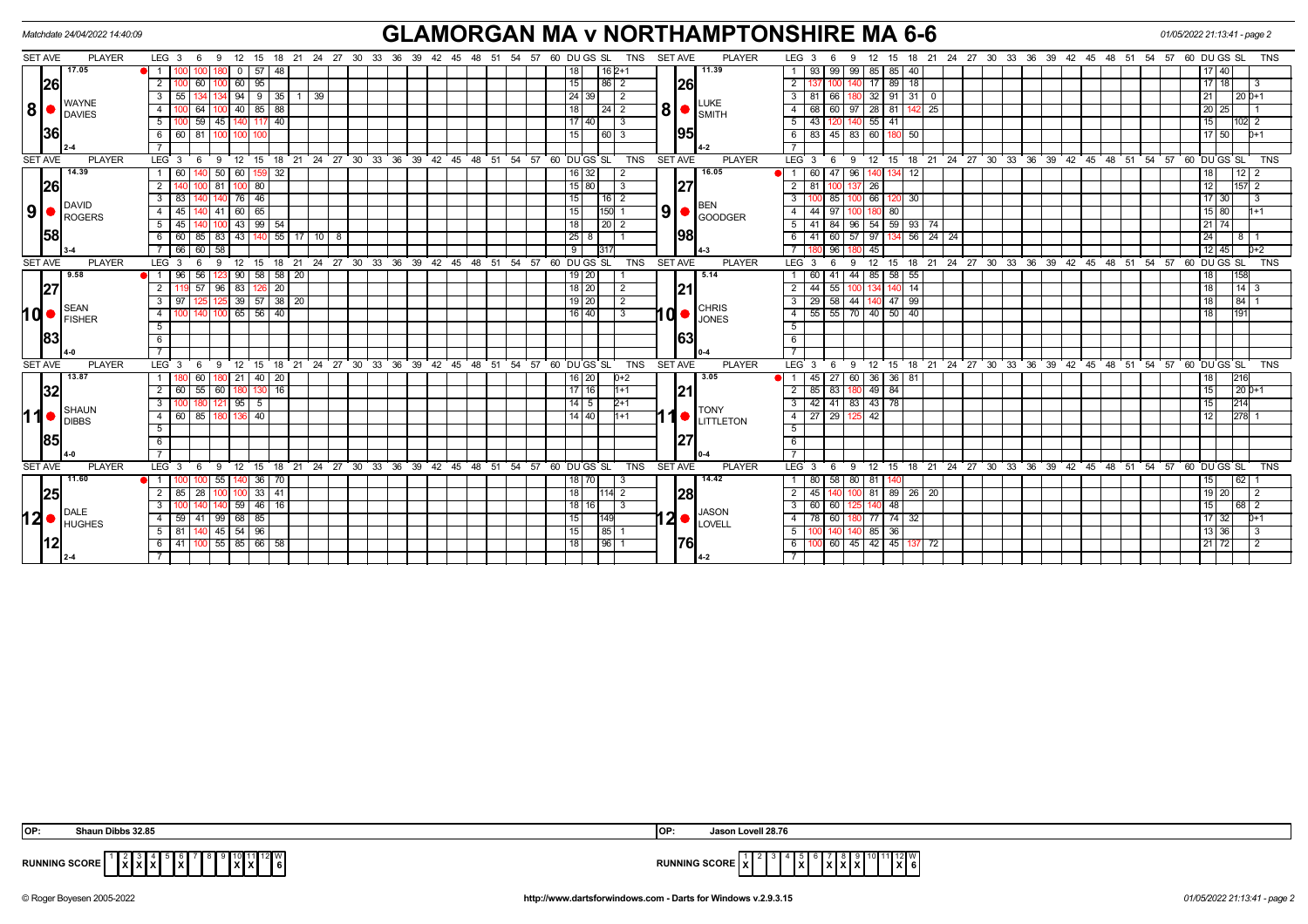| Matchdate 24/04/2022 14:40:09 |               |                         |               |                              |                |               |                              |                        |                                        | <b>GLAMORGAN MA v NORTHAMPTONSHIRE MA 6-6</b><br>18  21  24  27  30  33  36  39  42  45  48  51  54  57  60  DU GS  SL<br><b>TNS</b><br><b>SET AVE</b><br>18 21 24 27 30 33 36 39 42 45 48 51 54 57 60 DUGS SL<br>12 |                      |  |  |       |   |       |                                                      |    |                |                                              |                |            |                | 01/05/2022 21:13:41 - page 2 |                    |                  |                      |                |                       |                 |    |    |                                                            |  |  |       |  |                 |           |                |
|-------------------------------|---------------|-------------------------|---------------|------------------------------|----------------|---------------|------------------------------|------------------------|----------------------------------------|----------------------------------------------------------------------------------------------------------------------------------------------------------------------------------------------------------------------|----------------------|--|--|-------|---|-------|------------------------------------------------------|----|----------------|----------------------------------------------|----------------|------------|----------------|------------------------------|--------------------|------------------|----------------------|----------------|-----------------------|-----------------|----|----|------------------------------------------------------------|--|--|-------|--|-----------------|-----------|----------------|
| <b>SET AVE</b>                | <b>PLAYER</b> | LEG $3 \quad 6$         |               | 9                            |                | 12 15         |                              |                        |                                        |                                                                                                                                                                                                                      |                      |  |  |       |   |       |                                                      |    |                |                                              |                |            |                |                              | <b>PLAYER</b>      | LEG <sub>3</sub> | 6                    | 9              | 15                    |                 |    |    |                                                            |  |  |       |  |                 |           | TNS            |
|                               | 17.05         |                         |               |                              |                | $0$ 57        | 48                           |                        |                                        |                                                                                                                                                                                                                      |                      |  |  |       |   |       |                                                      |    | 18 I           |                                              | $16 2+1$       |            |                |                              | 11.39              |                  | 93<br>99             | 99             | 85 85                 | 40              |    |    |                                                            |  |  |       |  | 17   40         |           |                |
| 26                            |               | 2                       |               | 60                           |                | 60 95         |                              |                        |                                        |                                                                                                                                                                                                                      |                      |  |  |       |   |       |                                                      |    | 15             |                                              | l 86 I         |            |                | 26                           |                    | 2                |                      |                | 17                    | 89 18           |    |    |                                                            |  |  |       |  | $17$   18       |           | -3             |
|                               | <b>WAYNE</b>  | 3                       | 55            |                              |                |               |                              | $94$   9   35   1   39 |                                        |                                                                                                                                                                                                                      |                      |  |  |       |   |       |                                                      |    |                | 24 39                                        |                |            |                |                              |                    |                  | 81<br>66             |                |                       | 32 91 31 0      |    |    |                                                            |  |  |       |  | 21              | $120D+1$  |                |
| 8                             | <b>DAVIES</b> |                         | 88<br>40   85 |                              |                |               |                              |                        |                                        |                                                                                                                                                                                                                      |                      |  |  | 18    |   |       |                                                      |    |                | <b>LUKE</b><br>$\frac{1}{3}$ 8 $\frac{1}{3}$ |                | 68         |                | 28 81                        |                    | 25               |                      |                |                       |                 |    |    | 20<br>25                                                   |  |  |       |  |                 |           |                |
|                               |               | 5                       |               | 59<br>45                     |                | 140 117       | 40                           |                        |                                        |                                                                                                                                                                                                                      |                      |  |  |       |   |       |                                                      |    |                | 17   40                                      | $\overline{3}$ |            |                |                              |                    |                  | 43                   |                | $55$ 41               |                 |    |    |                                                            |  |  |       |  | 15              | $102$ 2   |                |
| <b>36</b>                     |               | -6                      | 60 I 81       |                              |                |               |                              |                        |                                        |                                                                                                                                                                                                                      |                      |  |  |       |   |       |                                                      |    | 15 I           |                                              | 60 3           |            |                | 95                           |                    |                  | 83                   | 45 83          | 60 180 50             |                 |    |    |                                                            |  |  |       |  | $17$ 50         |           | $D+1$          |
|                               |               |                         |               |                              |                |               |                              |                        |                                        |                                                                                                                                                                                                                      |                      |  |  |       |   |       |                                                      |    |                |                                              |                |            |                |                              |                    |                  |                      |                |                       |                 |    |    |                                                            |  |  |       |  |                 |           |                |
| <b>SET AVE</b>                | <b>PLAYER</b> | LEG <sup>3</sup>        |               | - 6<br>- 9                   |                | $12 \quad 15$ | 18                           |                        | $21$ 24 27 30 33 36 39                 |                                                                                                                                                                                                                      |                      |  |  |       |   |       | 42 45 48 51 54 57 60 DUGS SL                         |    |                |                                              |                | <b>TNS</b> | <b>SET AVE</b> |                              | <b>PLAYER</b>      | LEG <sub>3</sub> | 6                    | - 9            | $12 \quad 15$         |                 |    |    | 18 21 24 27 30 33 36 39 42 45 48 51 54 57 60 DUGS SL       |  |  |       |  |                 |           | <b>TNS</b>     |
|                               | 14.39         |                         | -60 I         | 50                           | 60             |               | 32                           |                        |                                        |                                                                                                                                                                                                                      |                      |  |  |       |   |       |                                                      |    |                | 16 32                                        |                |            |                |                              | 16.05              |                  | 60                   | 47 96          |                       | 12              |    |    |                                                            |  |  |       |  | 18              | 12        |                |
| 26                            |               |                         |               | $100$ 81                     |                | 100 80        |                              |                        |                                        |                                                                                                                                                                                                                      |                      |  |  |       |   |       |                                                      |    |                | $15$ 80                                      | 3              |            |                | 27                           |                    | $\overline{2}$   | 81                   |                | $\overline{26}$       |                 |    |    |                                                            |  |  |       |  | 12              | $ 157 $ 2 |                |
|                               | DAVID         |                         | 83            |                              |                | 76 46         |                              |                        |                                        |                                                                                                                                                                                                                      |                      |  |  |       |   |       |                                                      |    | 15             |                                              | l 16 I         |            |                |                              | <b>IBEN</b>        |                  | 85                   |                | 66                    | -30             |    |    |                                                            |  |  |       |  | $17$ 30         |           |                |
| 9 ●                           | <b>ROGERS</b> | 4                       | 45            | 41                           |                | 60 65         |                              |                        |                                        |                                                                                                                                                                                                                      |                      |  |  |       |   |       |                                                      |    | 15             |                                              | 150            |            | 9              |                              | GOODGER            |                  | 44<br>97             |                | 80<br>180 I           |                 |    |    |                                                            |  |  |       |  | 15 80           |           | l1+1           |
|                               |               | 5                       | 45 I          |                              |                | 43 99 54      |                              |                        |                                        |                                                                                                                                                                                                                      |                      |  |  |       |   |       |                                                      |    | 18             |                                              | $\sqrt{20}$ 2  |            |                |                              |                    |                  | 41<br>84             | 96             | 54 59 93              |                 | 74 |    |                                                            |  |  |       |  | $21$ 74         |           |                |
| 58                            |               |                         |               | 60 85 83                     |                |               |                              |                        | $43$ $140$ 55 17 10 8                  |                                                                                                                                                                                                                      |                      |  |  |       |   |       |                                                      |    |                | $25 \mid 8$                                  |                |            |                | 98                           |                    |                  | 41                   | 60 57          | 97                    | 134 56 24 24    |    |    |                                                            |  |  |       |  | 24              | 1811      |                |
|                               |               |                         | 66            | 58<br>60                     |                |               |                              |                        |                                        |                                                                                                                                                                                                                      |                      |  |  |       |   |       |                                                      |    | $\overline{9}$ | 31                                           |                |            |                |                              |                    |                  |                      |                | 45                    |                 |    |    |                                                            |  |  |       |  | $12$ 45         |           | $D+2$          |
| <b>SET AVE</b>                | <b>PLAYER</b> | LEG <sup>3</sup>        |               | 9<br>- 6                     |                | $12 \quad 15$ |                              |                        | 18 21 24 27 30 33 36 39 42 45 48 51 54 |                                                                                                                                                                                                                      |                      |  |  |       |   |       | 57                                                   |    |                | 60 DU GS SL                                  |                | <b>TNS</b> | <b>SET AVE</b> |                              | <b>PLAYER</b>      | $LEG$ 3          | -6                   | -9             | 12 <sup>2</sup><br>15 |                 |    |    | 18 21 24 27 30 33 36 39 42 45 48 51 54 57                  |  |  |       |  | 60 DUGS SL      |           | <b>TNS</b>     |
|                               | 9.58          |                         | 96            | 56                           | 90             | 58            | $58 \mid 20$                 |                        |                                        |                                                                                                                                                                                                                      |                      |  |  |       |   |       |                                                      |    |                | 19   20                                      |                |            |                |                              | 5.14               |                  | 60<br>41             | 44             | 85                    | 58 55           |    |    |                                                            |  |  |       |  | 18              | 158       |                |
| 27                            |               | $\overline{2}$          | 57            | 20<br>96<br>83<br>126        |                |               |                              |                        |                                        |                                                                                                                                                                                                                      |                      |  |  | 18 20 | 2 |       |                                                      | 21 |                |                                              | 44<br>55       |            |                | $\overline{14}$              |                    |                  |                      |                |                       |                 |    | 18 | 14 3                                                       |  |  |       |  |                 |           |                |
|                               | <b>SEAN</b>   | $\overline{\mathbf{3}}$ | 97            | 125                          |                |               | $39 \mid 57 \mid 38 \mid 20$ |                        |                                        |                                                                                                                                                                                                                      |                      |  |  |       |   |       |                                                      |    |                | $19$ 20                                      | $\overline{2}$ |            |                |                              | <b>CHRIS</b>       |                  | $29 \mid 58 \mid 44$ |                | 140 47 99             |                 |    |    |                                                            |  |  |       |  | 18              | 84 1      |                |
| 10 ●                          | FISHER        | $\overline{4}$          |               |                              |                | 65 56 40      |                              |                        |                                        |                                                                                                                                                                                                                      |                      |  |  |       |   |       |                                                      |    |                | $16$ 40                                      | $\overline{3}$ |            |                |                              |                    | 4                | 55                   | 55 70 40 50 40 |                       |                 |    |    |                                                            |  |  |       |  | 18              | 191       |                |
|                               |               | $5\overline{)}$         |               |                              |                |               |                              |                        |                                        |                                                                                                                                                                                                                      |                      |  |  |       |   |       |                                                      |    |                |                                              |                |            |                |                              |                    | 5                |                      |                |                       |                 |    |    |                                                            |  |  |       |  |                 |           |                |
| 83                            |               | $6\overline{6}$         |               |                              |                |               |                              |                        |                                        |                                                                                                                                                                                                                      |                      |  |  |       |   |       |                                                      |    |                |                                              |                |            |                | 63                           |                    | 6                |                      |                |                       |                 |    |    |                                                            |  |  |       |  |                 |           |                |
|                               |               |                         |               |                              |                |               |                              |                        |                                        |                                                                                                                                                                                                                      |                      |  |  |       |   |       |                                                      |    |                |                                              |                |            |                |                              |                    |                  |                      |                |                       |                 |    |    |                                                            |  |  |       |  |                 |           |                |
| <b>SET AVE</b>                | <b>PLAYER</b> | LEG <sub>3</sub>        |               | - 6<br>- 9                   |                | 12 15         |                              |                        |                                        |                                                                                                                                                                                                                      |                      |  |  |       |   |       | 18 21 24 27 30 33 36 39 42 45 48 51 54 57 60 DUGS SL |    |                |                                              |                | <b>TNS</b> | <b>SET AVE</b> |                              | <b>PLAYER</b>      | LEG <sub>3</sub> |                      | 69             |                       |                 |    |    | 12 15 18 21 24 27 30 33 36 39 42 45 48 51 54 57 60 DUGS SL |  |  |       |  |                 |           | <b>TNS</b>     |
|                               | 13.87         |                         |               | 60                           |                | $21$   40     | 20                           |                        |                                        |                                                                                                                                                                                                                      |                      |  |  |       |   |       |                                                      |    |                | 16   20                                      | 0+2            |            |                |                              | 3.05               |                  | 45<br>27             | 60             | 36 36 81              |                 |    |    |                                                            |  |  |       |  |                 | 216       |                |
| 32                            |               | 2                       | 60 55         | $\boxed{60}$                 |                | 180 130 16    |                              |                        |                                        |                                                                                                                                                                                                                      |                      |  |  |       |   |       |                                                      |    |                | $17$   16                                    | $1+1$          |            |                | 21                           |                    | 2                | 85                   | 83 180         | 49 84                 |                 |    |    |                                                            |  |  |       |  | 15 <sup>1</sup> | $120D+1$  |                |
|                               | <b>SHAUN</b>  | 3                       |               |                              |                | $95 \mid 5$   |                              |                        |                                        |                                                                                                                                                                                                                      |                      |  |  |       |   |       |                                                      |    |                | $14 \mid 5 \mid$                             | $2+1$          |            |                |                              | <b>TONY</b>        |                  | 42                   | $-41$   83     | 43 78                 |                 |    |    |                                                            |  |  |       |  | 15              | 214       |                |
| 11                            | <b>DIBBS</b>  | 4                       |               | 60 85 180                    |                | 136 40        |                              |                        |                                        |                                                                                                                                                                                                                      |                      |  |  |       |   |       |                                                      |    |                | 14 40                                        | $1+1$          |            |                |                              | <b>U</b> LITTLETON | $\sim$ 4         | 27 29 125            | - 42           |                       |                 |    |    |                                                            |  |  |       |  | 12              | $ 278 $ 1 |                |
|                               |               | 5                       |               |                              |                |               |                              |                        |                                        |                                                                                                                                                                                                                      |                      |  |  |       |   |       |                                                      |    |                |                                              |                |            |                |                              |                    | 5                |                      |                |                       |                 |    |    |                                                            |  |  |       |  |                 |           |                |
| <b>85</b>                     |               | 6                       |               |                              |                |               |                              |                        |                                        |                                                                                                                                                                                                                      |                      |  |  |       |   |       |                                                      |    |                |                                              |                |            |                |                              |                    | 6                |                      |                |                       |                 |    |    |                                                            |  |  |       |  |                 |           |                |
|                               |               |                         |               |                              |                |               |                              |                        |                                        |                                                                                                                                                                                                                      |                      |  |  |       |   |       |                                                      |    |                |                                              |                |            |                |                              |                    |                  |                      |                |                       |                 |    |    |                                                            |  |  |       |  |                 |           |                |
| <b>SET AVE</b>                | <b>PLAYER</b> | $LEG \ 3$               |               | -9<br>- 6                    | $12^{\degree}$ | 15            | 18                           | $21 \quad 24$          |                                        |                                                                                                                                                                                                                      | 27 30 33 36 39 42 45 |  |  |       |   | 48 51 | 54<br>57                                             |    |                | 60 DU GS SL                                  |                | <b>TNS</b> | <b>SET AVE</b> |                              | <b>PLAYER</b>      | LEG <sub>3</sub> | 6                    | -9             | 12 15                 | $\overline{18}$ |    |    | 21 24 27 30 33 36 39 42 45 48 51                           |  |  | 54 57 |  | 60 DU GS SL     |           | <b>TNS</b>     |
|                               | 11.60         |                         |               | 55                           |                | 140 36        | 70                           |                        |                                        |                                                                                                                                                                                                                      |                      |  |  |       |   |       |                                                      |    |                | 18   70                                      | -3             |            |                |                              | 14.42              |                  | 80                   | 58 80          | 81                    |                 |    |    |                                                            |  |  |       |  | 15              | 62        |                |
| 25                            |               | 2                       | 85 I          | 28                           |                | 33            | $-41$                        |                        |                                        |                                                                                                                                                                                                                      |                      |  |  |       |   |       |                                                      |    | 18             |                                              | 11141<br>2     |            |                | 28                           |                    | 2                | 45                   |                |                       | 81 89 26 20     |    |    |                                                            |  |  |       |  | $19$   20       |           | $\overline{2}$ |
|                               | DALE          | 3                       |               |                              |                | 59 46 16      |                              |                        |                                        |                                                                                                                                                                                                                      |                      |  |  |       |   |       |                                                      |    |                | 18 16                                        | $\overline{3}$ |            |                |                              | <b>JASON</b>       | 3                | 60<br>60             |                | 140 48                |                 |    |    |                                                            |  |  |       |  | 15 I            | 68 2      |                |
| 12 ●                          | <b>HUGHES</b> | 4                       | 59 I          | 99<br>41                     |                | 68 85         |                              |                        |                                        |                                                                                                                                                                                                                      |                      |  |  |       |   |       |                                                      |    | 15             |                                              | 1149           |            |                |                              |                    |                  | 78<br>60             |                | 77 74 32              |                 |    |    |                                                            |  |  |       |  | $17 \mid 32$    |           | $D+1$          |
|                               |               | 5                       |               | 81 140 45 54 96              |                |               |                              |                        |                                        |                                                                                                                                                                                                                      |                      |  |  |       |   |       |                                                      |    | 15             |                                              | 85 1           |            |                |                              |                    | 5                |                      |                | 85 36                 |                 |    |    |                                                            |  |  |       |  | 13 36           | $\vert$ 3 |                |
|                               |               |                         |               | 41   100   55   85   66   58 |                |               |                              |                        |                                        |                                                                                                                                                                                                                      |                      |  |  |       |   |       |                                                      |    | 18 I           |                                              | 96 1           |            |                | 76                           |                    |                  |                      | 60 45          | 42 45 137             |                 | 72 |    |                                                            |  |  |       |  | $21$   72       |           | $\overline{2}$ |
|                               |               |                         |               |                              |                |               |                              |                        |                                        |                                                                                                                                                                                                                      |                      |  |  |       |   |       |                                                      |    |                |                                              |                |            |                |                              | 14-2               |                  |                      |                |                       |                 |    |    |                                                            |  |  |       |  |                 |           |                |

| <b>OP:</b>           | Shaun Dibbs 32.85                       | <b>OP</b>           | Lovell 28.76<br>,,,,,                          |
|----------------------|-----------------------------------------|---------------------|------------------------------------------------|
| <b>RUNNING SCORE</b> | $\overline{\phantom{a}}$<br>$\sim$<br>. | <b>RUNNING SUU.</b> | ∠∎W<br>$\lambda$<br>IA.<br>. .<br>$\mathbf{A}$ |